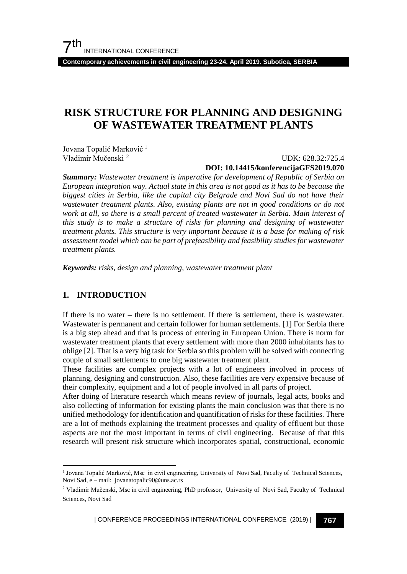**Contemporary achievements in civil engineering 23-24. April 2019. Subotica, SERBIA**

# **RISK STRUCTURE FOR PLANNING AND DESIGNING OF WASTEWATER TREATMENT PLANTS**

Jovana Topalić Marković<sup>[1](#page-0-0)</sup> Vladimir Mučenski [2](#page-0-1)

UDK: 628.32:725.4

**DOI: 10.14415/konferencijaGFS2019.070**

*Summary: Wastewater treatment is imperative for development of Republic of Serbia on European integration way. Actual state in this area is not good as it has to be because the biggest cities in Serbia, like the capital city Belgrade and Novi Sad do not have their wastewater treatment plants. Also, existing plants are not in good conditions or do not work at all, so there is a small percent of treated wastewater in Serbia. Main interest of this study is to make a structure of risks for planning and designing of wastewater treatment plants. This structure is very important because it is a base for making of risk assessment model which can be part of prefeasibility and feasibility studies for wastewater treatment plants.* 

*Keywords: risks, design and planning, wastewater treatment plant*

### **1. INTRODUCTION**

If there is no water – there is no settlement. If there is settlement, there is wastewater. Wastewater is permanent and certain follower for human settlements. [1] For Serbia there is a big step ahead and that is process of entering in European Union. There is norm for wastewater treatment plants that every settlement with more than 2000 inhabitants has to oblige [2]. That is a very big task for Serbia so this problem will be solved with connecting couple of small settlements to one big wastewater treatment plant.

These facilities are complex projects with a lot of engineers involved in process of planning, designing and construction. Also, these facilities are very expensive because of their complexity, equipment and a lot of people involved in all parts of project.

After doing of literature research which means review of journals, legal acts, books and also collecting of information for existing plants the main conclusion was that there is no unified methodology for identification and quantification of risks for these facilities. There are a lot of methods explaining the treatment processes and quality of effluent but those aspects are not the most important in terms of civil engineering. Because of that this research will present risk structure which incorporates spatial, constructional, economic

<span id="page-0-0"></span> <sup>1</sup> Jovana Topalić Marković, Msc in civil engineering, University of Novi Sad, Faculty of Technical Sciences, Novi Sad, e – mail: jovanatopalic90@uns.ac.rs

<span id="page-0-1"></span><sup>2</sup> Vladimir Mučenski, Msc in civil engineering, PhD professor, University of Novi Sad, Faculty of Technical Sciences, Novi Sad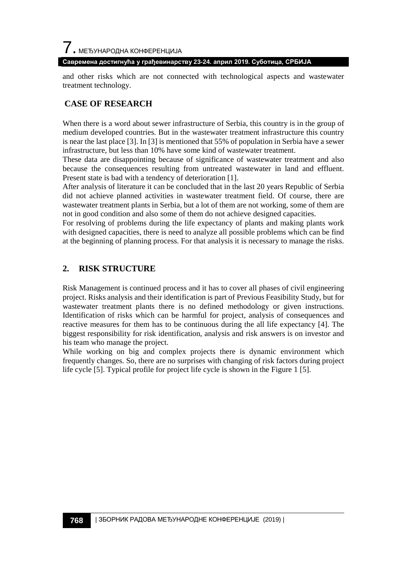**Савремена достигнућа у грађевинарству 23-24. април 2019. Суботица, СРБИЈА**

and other risks which are not connected with technological aspects and wastewater treatment technology.

# **CASE OF RESEARCH**

When there is a word about sewer infrastructure of Serbia, this country is in the group of medium developed countries. But in the wastewater treatment infrastructure this country is near the last place [3]. In [3] is mentioned that 55% of population in Serbia have a sewer infrastructure, but less than 10% have some kind of wastewater treatment.

These data are disappointing because of significance of wastewater treatment and also because the consequences resulting from untreated wastewater in land and effluent. Present state is bad with a tendency of deterioration [1].

After analysis of literature it can be concluded that in the last 20 years Republic of Serbia did not achieve planned activities in wastewater treatment field. Of course, there are wastewater treatment plants in Serbia, but a lot of them are not working, some of them are not in good condition and also some of them do not achieve designed capacities.

For resolving of problems during the life expectancy of plants and making plants work with designed capacities, there is need to analyze all possible problems which can be find at the beginning of planning process. For that analysis it is necessary to manage the risks.

## **2. RISK STRUCTURE**

Risk Management is continued process and it has to cover all phases of civil engineering project. Risks analysis and their identification is part of Previous Feasibility Study, but for wastewater treatment plants there is no defined methodology or given instructions. Identification of risks which can be harmful for project, analysis of consequences and reactive measures for them has to be continuous during the all life expectancy [4]. The biggest responsibility for risk identification, analysis and risk answers is on investor and his team who manage the project.

While working on big and complex projects there is dynamic environment which frequently changes. So, there are no surprises with changing of risk factors during project life cycle [5]. Typical profile for project life cycle is shown in the Figure 1 [5].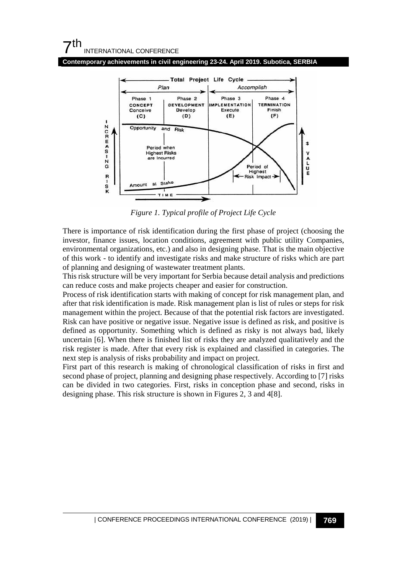**Contemporary achievements in civil engineering 23-24. April 2019. Subotica, SERBIA**



*Figure 1. Typical profile of Project Life Cycle*

There is importance of risk identification during the first phase of project (choosing the investor, finance issues, location conditions, agreement with public utility Companies, environmental organizations, etc.) and also in designing phase. That is the main objective of this work - to identify and investigate risks and make structure of risks which are part of planning and designing of wastewater treatment plants.

This risk structure will be very important for Serbia because detail analysis and predictions can reduce costs and make projects cheaper and easier for construction.

Process of risk identification starts with making of concept for risk management plan, and after that risk identification is made. Risk management plan is list of rules or steps for risk management within the project. Because of that the potential risk factors are investigated. Risk can have positive or negative issue. Negative issue is defined as risk, and positive is defined as opportunity. Something which is defined as risky is not always bad, likely uncertain [6]. When there is finished list of risks they are analyzed qualitatively and the risk register is made. After that every risk is explained and classified in categories. The next step is analysis of risks probability and impact on project.

First part of this research is making of chronological classification of risks in first and second phase of project, planning and designing phase respectively. According to [7] risks can be divided in two categories. First, risks in conception phase and second, risks in designing phase. This risk structure is shown in Figures 2, 3 and 4[8].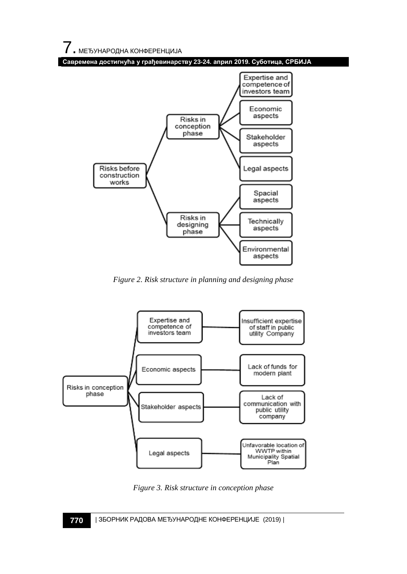



*Figure 2. Risk structure in planning and designing phase*



*Figure 3. Risk structure in conception phase*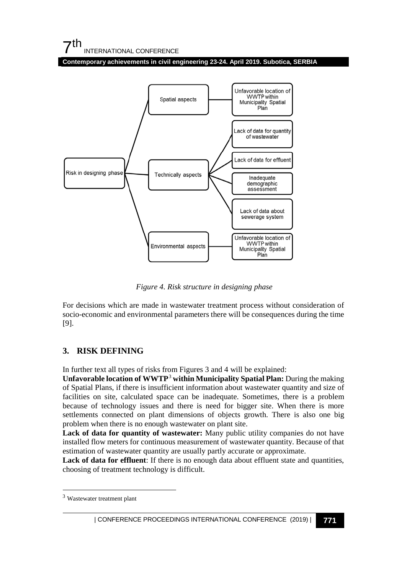## $7<sup>th</sup>$ INTERNATIONAL CONFERENCE

**Contemporary achievements in civil engineering 23-24. April 2019. Subotica, SERBIA**



*Figure 4. Risk structure in designing phase*

For decisions which are made in wastewater treatment process without consideration of socio-economic and environmental parameters there will be consequences during the time [9].

## **3. RISK DEFINING**

In further text all types of risks from Figures 3 and 4 will be explained:

**Unfavorable location of WWTP**[3](#page-4-0) **within Municipality Spatial Plan:** During the making of Spatial Plans, if there is insufficient information about wastewater quantity and size of facilities on site, calculated space can be inadequate. Sometimes, there is a problem because of technology issues and there is need for bigger site. When there is more settlements connected on plant dimensions of objects growth. There is also one big problem when there is no enough wastewater on plant site.

**Lack of data for quantity of wastewater:** Many public utility companies do not have installed flow meters for continuous measurement of wastewater quantity. Because of that estimation of wastewater quantity are usually partly accurate or approximate.

Lack of data for effluent: If there is no enough data about effluent state and quantities, choosing of treatment technology is difficult.

<span id="page-4-0"></span> <sup>3</sup> Wastewater treatment plant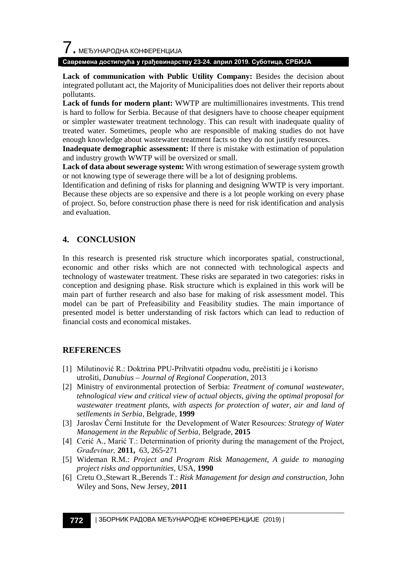$\overline{\phantom{a}}$ . МЕЂУНАРОДНА КОНФЕРЕНЦИЈА

#### **Савремена достигнућа у грађевинарству 23-24. април 2019. Суботица, СРБИЈА**

**Lack of communication with Public Utility Company:** Besides the decision about integrated pollutant act, the Majority of Municipalities does not deliver their reports about pollutants.

**Lack of funds for modern plant:** WWTP are multimillionaires investments. This trend is hard to follow for Serbia. Because of that designers have to choose cheaper equipment or simpler wastewater treatment technology. This can result with inadequate quality of treated water. Sometimes, people who are responsible of making studies do not have enough knowledge about wastewater treatment facts so they do not justify resources.

**Inadequate demographic assessment:** If there is mistake with estimation of population and industry growth WWTP will be oversized or small.

**Lack of data about sewerage system:** With wrong estimation of sewerage system growth or not knowing type of sewerage there will be a lot of designing problems.

Identification and defining of risks for planning and designing WWTP is very important. Because these objects are so expensive and there is a lot people working on every phase of project. So, before construction phase there is need for risk identification and analysis and evaluation.

## **4. CONCLUSION**

In this research is presented risk structure which incorporates spatial, constructional, economic and other risks which are not connected with technological aspects and technology of wastewater treatment. These risks are separated in two categories: risks in conception and designing phase. Risk structure which is explained in this work will be main part of further research and also base for making of risk assessment model. This model can be part of Prefeasibility and Feasibility studies. The main importance of presented model is better understanding of risk factors which can lead to reduction of financial costs and economical mistakes.

### **REFERENCES**

- [1] Milutinović R.: Doktrina PPU-Prihvatiti otpadnu vodu, prečistiti je i korisno utrošiti, *Danubius – Journal of Regional Cooperation,* 2013
- [2] Ministry of environmental protection of Serbia: *Treatment of comunal wastewater, tehnological view and critical view of actual objects, giving the optimal proposal for wastewater treatment plants, with aspects for protection of water, air and land of setllements in Serbia*, Belgrade, **1999**
- [3] Jaroslav Černi Institute for the Development of Water Resources: *Strategy of Water Management in the Republic of Serbia,* Belgrade, **2015**
- [4] Cerić A., Marić T.: Determination of priority during the management of the Project*, Građevinar,* **2011,** 63, 265-271
- [5] Wideman R.M.: *Project and Program Risk Management, A guide to managing project risks and opportunities,* USA, **1990**
- [6] Cretu O.,Stewart R.,Berends T.: *Risk Management for design and construction*, John Wiley and Sons, New Jersey, **2011**